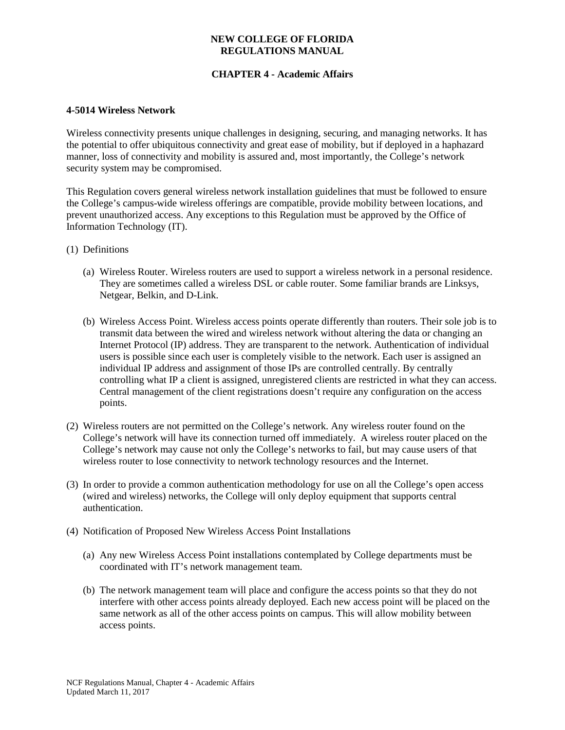### **NEW COLLEGE OF FLORIDA REGULATIONS MANUAL**

# **CHAPTER 4 - Academic Affairs**

#### **4-5014 Wireless Network**

Wireless connectivity presents unique challenges in designing, securing, and managing networks. It has the potential to offer ubiquitous connectivity and great ease of mobility, but if deployed in a haphazard manner, loss of connectivity and mobility is assured and, most importantly, the College's network security system may be compromised.

This Regulation covers general wireless network installation guidelines that must be followed to ensure the College's campus-wide wireless offerings are compatible, provide mobility between locations, and prevent unauthorized access. Any exceptions to this Regulation must be approved by the Office of Information Technology (IT).

- (1) Definitions
	- (a) Wireless Router. Wireless routers are used to support a wireless network in a personal residence. They are sometimes called a wireless DSL or cable router. Some familiar brands are Linksys, Netgear, Belkin, and D-Link.
	- (b) Wireless Access Point. Wireless access points operate differently than routers. Their sole job is to transmit data between the wired and wireless network without altering the data or changing an Internet Protocol (IP) address. They are transparent to the network. Authentication of individual users is possible since each user is completely visible to the network. Each user is assigned an individual IP address and assignment of those IPs are controlled centrally. By centrally controlling what IP a client is assigned, unregistered clients are restricted in what they can access. Central management of the client registrations doesn't require any configuration on the access points.
- (2) Wireless routers are not permitted on the College's network. Any wireless router found on the College's network will have its connection turned off immediately. A wireless router placed on the College's network may cause not only the College's networks to fail, but may cause users of that wireless router to lose connectivity to network technology resources and the Internet.
- (3) In order to provide a common authentication methodology for use on all the College's open access (wired and wireless) networks, the College will only deploy equipment that supports central authentication.
- (4) Notification of Proposed New Wireless Access Point Installations
	- (a) Any new Wireless Access Point installations contemplated by College departments must be coordinated with IT's network management team.
	- (b) The network management team will place and configure the access points so that they do not interfere with other access points already deployed. Each new access point will be placed on the same network as all of the other access points on campus. This will allow mobility between access points.